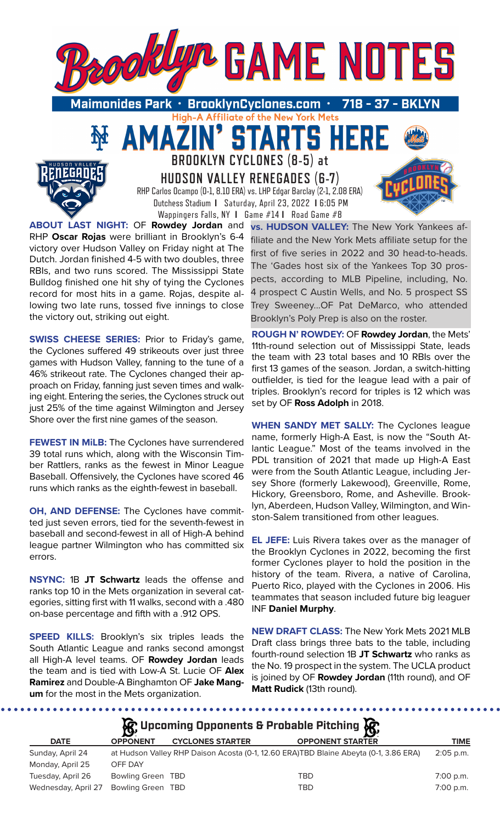

High-A Affiliate of the New York Mets

**STARTS HER** 

**BROOKLYN CYCLONES (8-5) at** 

**HUDSON VALLEY RENEGADES (6-7)** RHP Carlos Ocampo (0-1, 8.10 ERA) vs. LHP Edgar Barclay (2-1, 2.08 ERA) Dutchess Stadium **I** Saturday, April 23, 2022 **I** 6:05 PM

Wappingers Falls, NY **I** Game #14 **I** Road Game #8 **ABOUT LAST NIGHT:** OF **Rowdey Jordan** and RHP **Oscar Rojas** were brilliant in Brooklyn's 6-4 victory over Hudson Valley on Friday night at The Dutch. Jordan finished 4-5 with two doubles, three RBIs, and two runs scored. The Mississippi State Bulldog finished one hit shy of tying the Cyclones record for most hits in a game. Rojas, despite allowing two late runs, tossed five innings to close the victory out, striking out eight.

AMAZ

**SWISS CHEESE SERIES:** Prior to Friday's game, the Cyclones suffered 49 strikeouts over just three games with Hudson Valley, fanning to the tune of a 46% strikeout rate. The Cyclones changed their approach on Friday, fanning just seven times and walking eight. Entering the series, the Cyclones struck out just 25% of the time against Wilmington and Jersey Shore over the first nine games of the season.

**FEWEST IN MiLB:** The Cyclones have surrendered 39 total runs which, along with the Wisconsin Timber Rattlers, ranks as the fewest in Minor League Baseball. Offensively, the Cyclones have scored 46 runs which ranks as the eighth-fewest in baseball.

**OH, AND DEFENSE:** The Cyclones have committed just seven errors, tied for the seventh-fewest in baseball and second-fewest in all of High-A behind league partner Wilmington who has committed six errors.

**NSYNC:** 1B **JT Schwartz** leads the offense and ranks top 10 in the Mets organization in several categories, sitting first with 11 walks, second with a .480 on-base percentage and fifth with a .912 OPS.

**SPEED KILLS:** Brooklyn's six triples leads the South Atlantic League and ranks second amongst all High-A level teams. OF **Rowdey Jordan** leads the team and is tied with Low-A St. Lucie OF **Alex Ramirez** and Double-A Binghamton OF **Jake Mangum** for the most in the Mets organization.

**vs. HUDSON VALLEY:** The New York Yankees affiliate and the New York Mets affiliate setup for the first of five series in 2022 and 30 head-to-heads. The 'Gades host six of the Yankees Top 30 prospects, according to MLB Pipeline, including, No. 4 prospect C Austin Wells, and No. 5 prospect SS Trey Sweeney...OF Pat DeMarco, who attended Brooklyn's Poly Prep is also on the roster.

**ROUGH N' ROWDEY:** OF **Rowdey Jordan**, the Mets' 11th-round selection out of Mississippi State, leads the team with 23 total bases and 10 RBIs over the first 13 games of the season. Jordan, a switch-hitting outfielder, is tied for the league lead with a pair of triples. Brooklyn's record for triples is 12 which was set by OF **Ross Adolph** in 2018.

**WHEN SANDY MET SALLY:** The Cyclones league name, formerly High-A East, is now the "South Atlantic League." Most of the teams involved in the PDL transition of 2021 that made up High-A East were from the South Atlantic League, including Jersey Shore (formerly Lakewood), Greenville, Rome, Hickory, Greensboro, Rome, and Asheville. Brooklyn, Aberdeen, Hudson Valley, Wilmington, and Winston-Salem transitioned from other leagues.

**EL JEFE:** Luis Rivera takes over as the manager of the Brooklyn Cyclones in 2022, becoming the first former Cyclones player to hold the position in the history of the team. Rivera, a native of Carolina, Puerto Rico, played with the Cyclones in 2006. His teammates that season included future big leaguer INF **Daniel Murphy**.

**NEW DRAFT CLASS:** The New York Mets 2021 MLB Draft class brings three bats to the table, including fourth-round selection 1B **JT Schwartz** who ranks as the No. 19 prospect in the system. The UCLA product is joined by OF **Rowdey Jordan** (11th round), and OF **Matt Rudick** (13th round).

 $$ 

|                     |                   |                         | $\mathcal{G}$ Upcoming Opponents & Probable Pitching $\mathcal{G}$                   |             |
|---------------------|-------------------|-------------------------|--------------------------------------------------------------------------------------|-------------|
| <b>DATE</b>         | <b>OPPONENT</b>   | <b>CYCLONES STARTER</b> | <b>OPPONENT STARTER</b>                                                              | <b>TIME</b> |
| Sunday, April 24    |                   |                         | at Hudson Valley RHP Daison Acosta (0-1, 12.60 ERA)TBD Blaine Abeyta (0-1, 3.86 ERA) | $2:05$ p.m. |
| Monday, April 25    | OFF DAY           |                         |                                                                                      |             |
| Tuesday, April 26   | Bowling Green TBD |                         | TBD                                                                                  | 7:00 p.m.   |
| Wednesday, April 27 | Bowling Green TBD |                         | TBD                                                                                  | 7:00 p.m.   |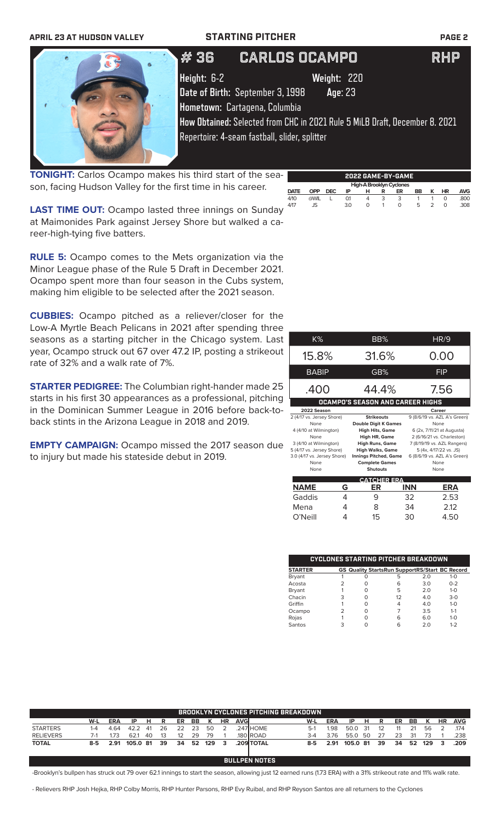# **APRIL 23 AT HUDSON VALLEY STARTING PITCHER PAGE 2**



# # 36 CARLOS OCAMPO RHP

**Height:** 6-2 **Weight:** 220 **Date of Birth:** September 3, 1998 **Age**: 23

**How Obtained:** Selected from CHC in 2021 Rule 5 MiLB Draft, December 8. 2021 Repertoire: 4-seam fastball, slider, splitter

**TONIGHT:** Carlos Ocampo makes his third start of the season, facing Hudson Valley for the first time in his career.

**2022 GAME-BY-GAME High-A Brooklyn Cyclon**<br>**DATE OPP DEC IP H R ER DATE OPP DEC IP H R ER BB K HR AVG** 4/10 @WIL L 0.1 4 3 3 1 1 0 .800 4/17 JS 3.0 0 1 0 5 2 0 .308

**LAST TIME OUT:** Ocampo lasted three innings on Sunday at Maimonides Park against Jersey Shore but walked a career-high-tying five batters.

**RULE 5:** Ocampo comes to the Mets organization via the Minor League phase of the Rule 5 Draft in December 2021. Ocampo spent more than four season in the Cubs system, making him eligible to be selected after the 2021 season.

**CUBBIES:** Ocampo pitched as a reliever/closer for the Low-A Myrtle Beach Pelicans in 2021 after spending three seasons as a starting pitcher in the Chicago system. Last year, Ocampo struck out 67 over 47.2 IP, posting a strikeout rate of 32% and a walk rate of 7%.

**STARTER PEDIGREE:** The Columbian right-hander made 25 starts in his first 30 appearances as a professional, pitching in the Dominican Summer League in 2016 before back-toback stints in the Arizona League in 2018 and 2019.

**EMPTY CAMPAIGN:** Ocampo missed the 2017 season due to injury but made his stateside debut in 2019.

| K%                                      |   | BB%                                      |                             | HR/9                                 |  |  |  |  |
|-----------------------------------------|---|------------------------------------------|-----------------------------|--------------------------------------|--|--|--|--|
| 15.8%                                   |   | 31.6%                                    |                             | 0.00                                 |  |  |  |  |
| <b>BABIP</b>                            |   | GB%                                      |                             | <b>FIP</b>                           |  |  |  |  |
| .400                                    |   | 44.4%                                    | 7.56                        |                                      |  |  |  |  |
| <b>OCAMPO'S SEASON AND CAREER HIGHS</b> |   |                                          |                             |                                      |  |  |  |  |
| 2022 Season                             |   |                                          |                             | Career                               |  |  |  |  |
| 2 (4/17 vs. Jersey Shore)               |   | <b>Strikeouts</b>                        |                             | 9 (8/6/19 vs. AZL A's Green)         |  |  |  |  |
| None                                    |   | <b>Double Digit K Games</b>              |                             | None                                 |  |  |  |  |
| 4 (4/10 at Wilmington)                  |   | <b>High Hits, Game</b>                   |                             | 6 (2x, 7/11/21 at Augusta)           |  |  |  |  |
| None                                    |   | High HR, Game                            | 2 (6/16/21 vs. Charleston)  |                                      |  |  |  |  |
| 3 (4/10 at Wilmington)                  |   | <b>High Runs, Game</b>                   | 7 (8/19/19 vs. AZL Rangers) |                                      |  |  |  |  |
| 5 (4/17 vs. Jersey Shore)               |   | High Walks, Game                         |                             | 5 (4x, 4/17/22 vs. JS)               |  |  |  |  |
| 3.0 (4/17 vs. Jersey Shore)<br>None     |   | <b>Innings Pitched, Game</b>             |                             | 6 (8/6/19 vs. AZL A's Green)<br>None |  |  |  |  |
| None                                    |   | <b>Complete Games</b><br><b>Shutouts</b> |                             | None                                 |  |  |  |  |
|                                         |   |                                          |                             |                                      |  |  |  |  |
|                                         |   | <b>CATCHER ERA</b>                       |                             |                                      |  |  |  |  |
| <b>NAME</b>                             | G | ER                                       | <b>INN</b>                  | <b>ERA</b>                           |  |  |  |  |
| Gaddis                                  | 4 | 9                                        | 32                          | 2.53                                 |  |  |  |  |
| Mena                                    | 4 | 8                                        | 34                          | 2.12                                 |  |  |  |  |
| O'Neill                                 | 4 | 15                                       | 30                          | 4.50                                 |  |  |  |  |

| CYCLONES STARTING PITCHER BREAKDOWN |   |   |                                                       |     |         |  |  |  |  |
|-------------------------------------|---|---|-------------------------------------------------------|-----|---------|--|--|--|--|
| <b>STARTER</b>                      |   |   | <b>GS Quality StartsRun SupportRS/Start BC Record</b> |     |         |  |  |  |  |
| <b>Bryant</b>                       |   | Ω | 5                                                     | 2.0 | $1 - 0$ |  |  |  |  |
| Acosta                              |   | O | 6                                                     | 3.0 | $0 - 2$ |  |  |  |  |
| Bryant                              |   | O | 5                                                     | 2.0 | $1 - 0$ |  |  |  |  |
| Chacin                              | З | O | 12                                                    | 4.0 | $3 - 0$ |  |  |  |  |
| Griffin                             |   | Ω | 4                                                     | 4.0 | $1 - 0$ |  |  |  |  |
| Ocampo                              |   |   |                                                       | 3.5 | $1 - 1$ |  |  |  |  |
| Rojas                               |   | ∩ | 6                                                     | 6.0 | $1 - 0$ |  |  |  |  |
| Santos                              |   |   | 6                                                     | 2 ດ | $1 - 2$ |  |  |  |  |

|                  |         |            |          |            |    |    |     |     |           |      | <b>BROOKLYN CYCLONES PITCHING BREAKDOWN</b> |       |            |          |     |    |    |    |     |    |            |
|------------------|---------|------------|----------|------------|----|----|-----|-----|-----------|------|---------------------------------------------|-------|------------|----------|-----|----|----|----|-----|----|------------|
|                  | W-L     | <b>ERA</b> | IP.      | Н.         | R  | ER | BB  |     | <b>HR</b> | AVGI |                                             | W-L   | <b>ERA</b> | IP       | н   | R  | ER | BB | K   | HR | <b>AVG</b> |
| <b>STARTERS</b>  | 1-4     | 4.64       | 42.2     | $\Delta$ 1 | 26 | つつ | -23 | 50  |           |      | .247 HOME                                   | $5-1$ | 1.98       | 50.0     | 31  |    |    |    | 56  |    | .174       |
| <b>RELIEVERS</b> |         | 173        | 621      | 40         |    | 12 | 29  | 79  |           |      | 180 ROAD                                    | 3-4   | 376        | 55.0     | -50 |    | 23 | 31 |     |    | .238       |
| <b>TOTAL</b>     | $8 - 5$ | 2.91       | 105.0 81 |            | 39 | 34 | 52  | 129 | 3         |      | .209 TOTAL                                  | 8-5   | 2.91       | 105.0 81 |     | 39 | 34 | 52 | 129 | 3  | .209       |
|                  |         |            |          |            |    |    |     |     |           |      |                                             |       |            |          |     |    |    |    |     |    |            |

**BULLPEN NOTES**

-Brooklyn's bullpen has struck out 79 over 62.1 innings to start the season, allowing just 12 earned runs (1.73 ERA) with a 31% strikeout rate and 11% walk rate.

- Relievers RHP Josh Hejka, RHP Colby Morris, RHP Hunter Parsons, RHP Evy Ruibal, and RHP Reyson Santos are all returners to the Cyclones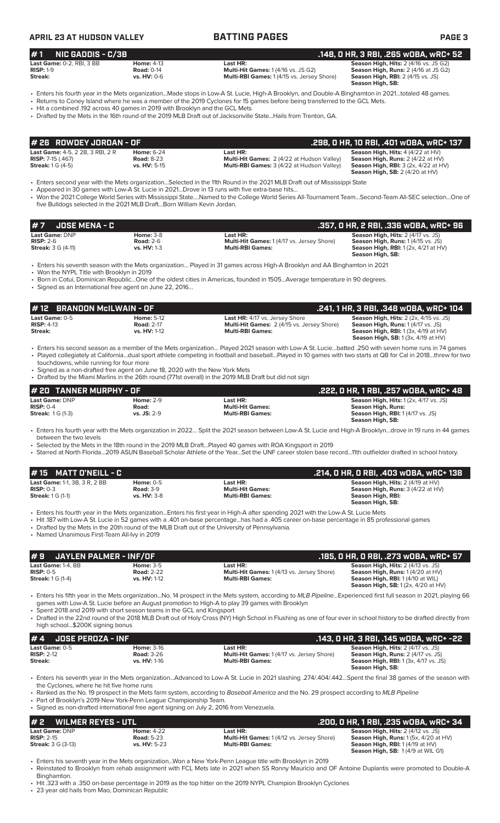### **APRIL 23 AT HUDSON VALLEY BATTING PAGES PAGE 3 # 7 JOSE MENA - C .357, 0 HR, 2 RBI, .336 wOBA, wRC+ 96 Last Game:** DNP **Home:** 3-8 **Last HR: Season High, Hits:** 2 (4/17 vs. JS) **RISP:** 2-6 **Road:** 2-6 **Multi-Hit Games:** 1 (4/17 vs. Jersey Shore) **Season High, Runs:** 1 (4/15 vs. JS) **Streak:** 3 G (4-11) **vs. HV:** 1-3 **Multi-RBI Games: Season High, RBI:** 1 (2x, 4/21 at HV) **Season High, SB:**  • Enters his seventh season with the Mets organization… Played in 31 games across High-A Brooklyn and AA Binghamton in 2021 • Won the NYPL Title with Brooklyn in 2019 • Born in Cotui, Dominican Republic…One of the oldest cities in Americas, founded in 1505…Average temperature in 90 degrees. • Signed as an International free agent on June 22, 2016… **Last Game: DNP Home: 2-9 Last HR: Last HR: Season High, Hits:** 1 (2x, 4/17 vs. JS)<br> **RISP:** 0-4 **Road: Righ, Runs: Righ, Runs: Righ, Runs: RISP:** 0-4 **Righ, Runs: Righ, Runs: Righ, Runs: Righ, Runs: RISP:** 0-4 **Road: Multi-Hit Games: Season High, Runs: Season High, RBI:** 1 (4/17 vs. JS) **Season High, SB:**  • Enters his fourth year with the Mets organization in 2022… Split the 2021 season between Low-A St. Lucie and High-A Brooklyn…drove in 19 runs in 44 games between the two levels • Selected by the Mets in the 18th round in the 2019 MLB Draft…Played 40 games with ROA Kingsport in 2019 • Starred at North Florida…2019 ASUN Baseball Scholar Athlete of the Year…Set the UNF career stolen base record…11th outfielder drafted in school history. **# 20 TANNER MURPHY - OF .222, 0 HR, 1 RBI, .257 wOBA, wRC+ 48 # 1 NIC GADDIS - C/3B .148, 0 HR, 3 RBI, .265 wOBA, wRC+ 52 Last Game:** 0-2, RBI, 3 BB **Home:** 4-13 **Last HR: Season High, Hits:** 2 (4/16 vs. JS G2) **Season High, Hits:** 2 (4/16 vs. JS G2) **Season High, Hits:** 2 (4/16 vs. JS G2) **RISP:** 1-9 **Road:** 0-14 **Multi-Hit Games:** 1 (4/16 vs. JS G2) **Season High, Runs:** 2 (4/16 at JS G2) **Multi-RBI Games: 1 (4/15 vs. Jersey Shore) Season High, SB:**  • Enters his fourth year in the Mets organization...Made stops in Low-A St. Lucie, High-A Brooklyn, and Double-A Binghamton in 2021…totaled 48 games. • Returns to Coney Island where he was a member of the 2019 Cyclones for 15 games before being transferred to the GCL Mets. • Hit a combined .192 across 40 games in 2019 with Brooklyn and the GCL Mets • Drafted by the Mets in the 16th round of the 2019 MLB Draft out of Jacksonville State...Hails from Trenton, GA. **Last Game:** 4-5, 2 2B, 3 RBI, 2 R **Home:** 6-24 **Last HR: Season High, Hits:** 4 (4/22 at HV) **RISP:** 7-15 (.467) **Road:** 8-23 **Multi-Hit Games:** 2 (4/22 at Hudson Valley) **Season High, Runs:** 2 (4/22 at HV) **Streak:** 1 G (4-5) **vs. HV:** 5-15 **Multi-RBI Games:** 3 (4/22 at Hudson Valley) **Season High, RBI:** 3 (2x, 4/22 at HV) **Season High, SB:** 2 (4/20 at HV) • Enters second year with the Mets organization…Selected in the 11th Round in the 2021 MLB Draft out of Mississippi State • Appeared in 30 games with Low-A St. Lucie in 2021…Drove in 13 runs with five extra-base hits… • Won the 2021 College World Series with Mississippi State….Named to the College World Series All-Tournament Team…Second-Team All-SEC selection…One of five Bulldogs selected in the 2021 MLB Draft…Born William Kevin Jordan. **# 26 ROWDEY JORDAN - OF .298, 0 HR, 10 RBI, .401 wOBA, wRC+ 137 Last Game:** 0-5 **Home:** 5-12 **Last HR:** 4/17 vs. Jersey Shore **Season High, Hits:** 2 (2x, 4/15 vs. JS) **RISP:** 4-13 **Road:** 2-17 **Multi-Hit Games:** 2 (4/15 vs. Jersey Shore) **Season High, Runs:** 1 (4/17 vs. JS) And the season High, RBI: 1, 13<br>
vs. HV: 1-12 **Multi-RBI Games: Multi-RBI Games: Season High, RBI:** 1 (3x, 4/19 at HV)<br>
Season High, SB: 1 (3x, 4/19 at HV) **Season High, SB:** 1 (3x, 4/19 at HV) • Enters his second season as a member of the Mets organization… Played 2021 season with Low-A St. Lucie…batted .250 with seven home runs in 74 games • Played collegiately at California…dual sport athlete competing in football and baseball…Played in 10 games with two starts at QB for Cal in 2018…threw for two touchdowns, while running for four more Signed as a non-drafted free agent on June 18, 2020 with the New York Mets • Drafted by the Miami Marlins in the 26th round (771st overall) in the 2019 MLB Draft but did not sign **# 12 BRANDON McILWAIN - OF**<br> **1241, 1 HR, 3 RBI, .348 wOBA, wRC+ 104**<br> **RISP:** 4-13 **22x, 4/15 vs. JS)**<br> **RISP: 4-13 2415 Multi-Hit Games:** 2 (4/15 vs. Jersey Shore) **Season High, Runs: 1 (4/17 vs. JS) Last Game:** 1-1, 3B, 3 R, 2 BB **Home:** 0-5 **Last HR: Season High, Hits:** 2 (4/19 at HV) **RISP:** 0-3 **Road:** 3-9 **Multi-Hit Games: Season High, Runs:** 3 (4/22 at HV) **Streak:** 1 G (1-1) **vs. HV:** 3-8 **Multi-RBI Games: Season High, RBI: Season High, SB:**  • Enters his fourth year in the Mets organization...Enters his first year in High-A after spending 2021 with the Low-A St. Lucie Mets • Hit .187 with Low-A St. Lucie in 52 games with a .401 on-base percentage...has had a .405 career on-base percentage in 85 professional games • Drafted by the Mets in the 20th round of the MLB Draft out of the University of Pennsylvania. • Named Unanimous First-Team All-Ivy in 2019 **# 15 MATT O'NEILL - C .214, 0 HR, 0 RBI, .403 wOBA, wRC+ 138 # 9 JAYLEN PALMER - INF/OF .185, 0 HR, 0 RBI, .273 wOBA, wRC+ 57 Last Game:** 1-4, BB **Home:** 3-5 **Last HR: <b>Last HR:** Season High, Hits: 2 (4/13 vs. JS)<br> **RISP:** 0-5 **Season High, Runs:** 1 (4/20 at HV **RISP:** 0-5 **Road: 2-22 Road: 2-22 Multi-Hit Games:** 1 (4/13 vs. Jersey Shore) **Streak:** 1 G (1-4) **RISP: 0-5 Streak: 1 G (1-4) vs. HV:** 1-12 **At HUHICames:** 1 (4/13 vs. Jersey Shore) **Season High, Runs: 1 (4/20 at HV)**<br>**Season High, Runs: 1 (4/20 at HV)**<br>**Season High, RBI: 1 (4/10 at WIL) Season High, SB:** 1 (2x, 4/20 at HV) • Enters his fifth year in the Mets organization...No. 14 prospect in the Mets system, according to *MLB Pipeline*...Experienced first full season in 2021, playing 66 games with Low-A St. Lucie before an August promotion to High-A to play 39 games with Brooklyn • Spent 2018 and 2019 with short season teams in the GCL and Kingsport • Drafted in the 22nd round of the 2018 MLB Draft out of Holy Cross (NY) High School in Flushing as one of four ever in school history to be drafted directly from high school...\$200K signing bonus **# 4 JOSE PEROZA - INF .143, 0 HR, 3 RBI, .145 wOBA, wRC+ -22 Last Game:** 0-5 **Home:** 3-16 **Last HR: Season High, Hits:** 2 (4/17 vs. JS) **RISP:** 2-12 **Road:** 3-26 **Multi-Hit Games:** 1 (4/17 vs. Jersey Shore) **Season High, Runs:** 2 (4/17 vs. JS) Exterior Letter and Callis 2 of the Multi-RBI Games: Streak: **Streak: vs. HV:** 1-16 **Multi-RBI Games: Season High, RBI:** 1 (3x, 4/17 vs. JS) **Season High, SB:**  • Enters his seventh year in the Mets organization...Advanced to Low-A St. Lucie in 2021 slashing .274/.404/.442…Spent the final 38 games of the season with the Cyclones, where he hit five home runs • Ranked as the No. 19 prospect in the Mets farm system, according to *Baseball America* and the No. 29 prospect according to *MLB Pipeline* Part of Brooklyn's 2019 New York-Penn League Championship Team. • Signed as non-drafted international free agent signing on July 2, 2016 from Venezuela. **# 2 WILMER REYES - UTL .200, 0 HR, 1 RBI, .235 wOBA, wRC+ 34 Last Game:** DNP **Home:** 4-22 **Last HR: Season High, Hits:** 2 (4/12 vs. JS)<br>**RISP:** 2-15 **Rightname:** 5-23 **Home: 4-22 Home: 4-22 Home: 1 (4/12 vs. Jersey Shore) Season High, Runs: 1 (5x, 4/20** at HV) **RISP:** 2-15 **Road:** 5-23 **Road: 5-23 Multi-Hit Games:** 1 (4/12 vs. Jersey Shore) **Streak:** 3 G (3-13) **Road: 5-23 Multi-RBI Games:** 1 (4/12 vs. Jersey Shore) **Season High, RBI:** 1 (4/19 at HV) **Season High, SB:** 1 (4/9 at WIL G1) • Enters his seventh year in the Mets organization...Won a New York-Penn League title with Brooklyn in 2019 • Reinstated to Brooklyn from rehab assignment with FCL Mets late in 2021 when SS Ronny Mauricio and OF Antoine Duplantis were promoted to Double-A Binghamton. • Hit .323 with a .350 on-base percentage in 2019 as the top hitter on the 2019 NYPL Champion Brooklyn Cyclones 23 year old hails from Mao, Dominican Republic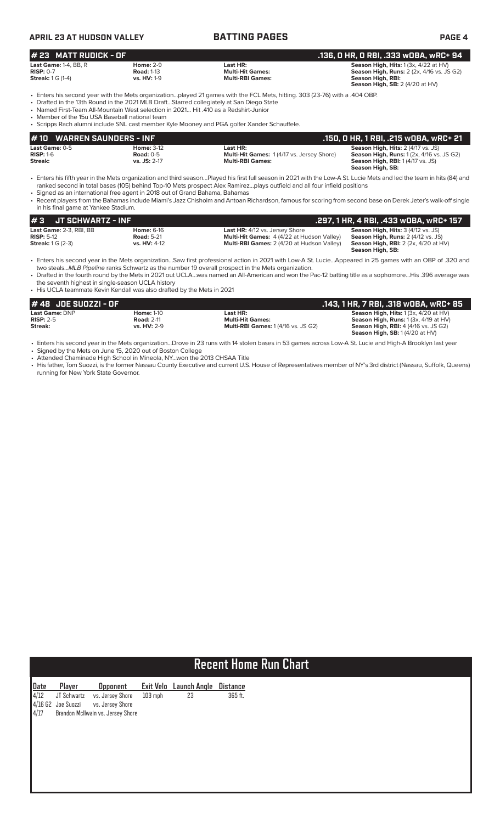| <b>APRIL 23 AT HUDSON VALLEY</b>                                                     |                                                             | <b>BATTING PAGES</b>                                                                                                                                                                                                                                                                                                                                                                                          |                                                                                                                                                   |
|--------------------------------------------------------------------------------------|-------------------------------------------------------------|---------------------------------------------------------------------------------------------------------------------------------------------------------------------------------------------------------------------------------------------------------------------------------------------------------------------------------------------------------------------------------------------------------------|---------------------------------------------------------------------------------------------------------------------------------------------------|
| l# 23   MATT RUDICK - OF                                                             |                                                             |                                                                                                                                                                                                                                                                                                                                                                                                               | .136, O HR, O RBI, .333 wOBA <u>, wRC+ 94</u>                                                                                                     |
| <b>Last Game: <math>1-4</math>. BB. R</b><br>$RISP: 0-7$<br><b>Streak:</b> 1 G (1-4) | <b>Home: 2-9</b><br><b>Road: 1-13</b><br><b>vs. HV: 1-9</b> | Last HR:<br><b>Multi-Hit Games:</b><br><b>Multi-RBI Games:</b>                                                                                                                                                                                                                                                                                                                                                | Season High, Hits: 1 (3x, 4/22 at HV)<br><b>Season High, Runs: 2 (2x, 4/16 vs. JS G2)</b><br>Season High, RBI:<br>Season High, SB: 2 (4/20 at HV) |
| • Member of the 15u USA Baseball national team                                       |                                                             | • Enters his second year with the Mets organizationplayed 21 games with the FCL Mets, hitting, 303 (23-76) with a .404 OBP.<br>• Drafted in the 13th Round in the 2021 MLB DraftStarred collegiately at San Diego State<br>• Named First-Team All-Mountain West selection in 2021 Hit 410 as a Redshirt-Junior<br>. Scripps Rach alumni include SNL cast member Kyle Mooney and PGA golfer Xander Schauffele. |                                                                                                                                                   |
| <b>WARREN SAUNDERS - INF</b><br>l # 10                                               |                                                             |                                                                                                                                                                                                                                                                                                                                                                                                               | .150, 0 HR, 1 RBI, .215 w0BA, wRC+ 21                                                                                                             |

**RISP:** 1-6 **Road:** 0-5 **Multi-Hit Games:** 1 (4/17 vs. Jersey Shore) **Season High, Runs:** 1 (2x, 4/16 vs. JS G2) **Streak: vs. JS:** 2-17 **Multi-RBI Games: Season High, RBI:** 1 (4/17 vs. JS)

• Enters his fifth year in the Mets organization and third season…Played his first full season in 2021 with the Low-A St. Lucie Mets and led the team in hits (84) and

• Recent players from the Bahamas include Miami's Jazz Chisholm and Antoan Richardson, famous for scoring from second base on Derek Jeter's walk-off single

in his final game at Yankee Stadium. **Last Game:** 2-3, RBI, BB **Home:** 6-16 **Last HR:** 4/12 vs. Jersey Shore **Season High, Hits:** 3 (4/12 vs. JS) **RISP:** 5-12 **Road:** 5-21 **Multi-Hit Games:** 4 (4/22 at Hudson Valley) **Season High, Runs:** 2 (4/12 vs. JS) **# 3 JT SCHWARTZ - INF**<br> **157 Last Game:** 2-3, RBI, BB **.297, 1 HOME:** 6-16 **.2014** Last HR: 4/12 vs. Jersey Shore<br> **157:** RISP: 5-12 **RISP: 5-12 RISP: 5-12 RISP: 5-12 RISP: 5-12 RISP: 5-12 RISP: 5-12 RISP: 5** 

**Season High, SB:** 

ranked second in total bases (105) behind Top-10 Mets prospect Alex Ramirez…plays outfield and all four infield positions

**Last Game:** 0-5 **Home:** 3-12 **Last HR: Last Game:** 0-5 **RISP:** 1-6 (4/17 vs. Jersey Shore)

**Streak:** 1 G (2-3) **vs. HV:** 4-12 **Multi-RBI Games:** 2 (4/20 at Hudson Valley)

• Enters his second year in the Mets organization…Saw first professional action in 2021 with Low-A St. Lucie…Appeared in 25 games with an OBP of .320 and two steals...*MLB Pipeline* ranks Schwartz as the number 19 overall prospect in the Mets organization.

**Season High, RBI:** 2 (2x, 4/20 at HV)<br>**Season High, RBI:** 2 (2x, 4/20 at HV)<br>**Season High, SB:** 

• Drafted in the fourth round by the Mets in 2021 out UCLA…was named an All-American and won the Pac-12 batting title as a sophomore…His .396 average was the seventh highest in single-season UCLA history

• His UCLA teammate Kevin Kendall was also drafted by the Mets in 2021

• Signed as an international free agent in 2018 out of Grand Bahama, Bahamas

| # 48 JOE SUOZZI - OF  |                    |                                            | .143, 1 HR, 7 RBI, .318 wOBA, wRC+ 85            |
|-----------------------|--------------------|--------------------------------------------|--------------------------------------------------|
| <b>Last Game: DNP</b> | <b>Home: 1-10</b>  | Last HR:                                   | <b>Season High, Hits:</b> $1(3x, 4/20$ at $HV$ ) |
| $RISP: 2-5$           | <b>Road: 2-11</b>  | <b>Multi-Hit Games:</b>                    | <b>Season High, Runs:</b> $1(3x, 4/19$ at $HV$ ) |
| Streak:               | <b>vs. HV: 2-9</b> | <b>Multi-RBI Games: 1 (4/16 vs. JS G2)</b> | <b>Season High, RBI:</b> 4 (4/16 vs. JS G2)      |
|                       |                    |                                            | <b>Season High, SB: 1(4/20 at HV)</b>            |

• Enters his second year in the Mets organization...Drove in 23 runs with 14 stolen bases in 53 games across Low-A St. Lucie and High-A Brooklyn last year

• Signed by the Mets on June 15, 2020 out of Boston College • Attended Chaminade High School in Mineola, NY...won the 2013 CHSAA Title

• His father, Tom Suozzi, is the former Nassau County Executive and current U.S. House of Representatives member of NY's 3rd district (Nassau, Suffolk, Queens) running for New York State Governor.

# **Recent Home Run Chart**

| Date | Player               | <b>Opponent</b>                   |         | Exit Velo Launch Angle | Distance |
|------|----------------------|-----------------------------------|---------|------------------------|----------|
| 4/12 | JT Schwartz          | vs. Jersey Shore                  | 103 mph | 23                     | 365 ft.  |
|      | $4/16$ G2 Joe Suozzi | vs. Jersey Shore                  |         |                        |          |
| 4/17 |                      | Brandon McIlwain vs. Jersey Shore |         |                        |          |
|      |                      |                                   |         |                        |          |
|      |                      |                                   |         |                        |          |
|      |                      |                                   |         |                        |          |
|      |                      |                                   |         |                        |          |
|      |                      |                                   |         |                        |          |
|      |                      |                                   |         |                        |          |
|      |                      |                                   |         |                        |          |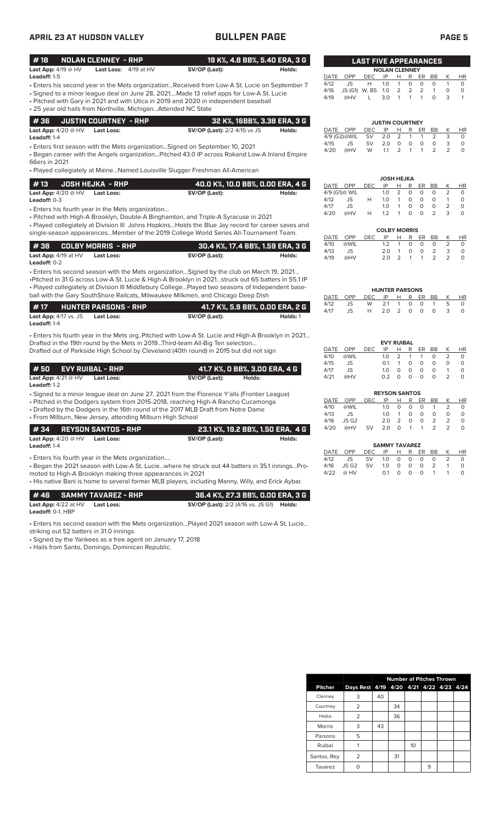| <b>APRIL 23 AT HUDSON VALLEY</b>                                                                                                                                                                                                                                                                                                                                                      | <b>BULLPEN PAGE</b>                                                                         |          |                                                                        |                                                                  |                                                                             |                                                                                                    |                                                 | <b>PAGE 5</b>                          |                                                 |
|---------------------------------------------------------------------------------------------------------------------------------------------------------------------------------------------------------------------------------------------------------------------------------------------------------------------------------------------------------------------------------------|---------------------------------------------------------------------------------------------|----------|------------------------------------------------------------------------|------------------------------------------------------------------|-----------------------------------------------------------------------------|----------------------------------------------------------------------------------------------------|-------------------------------------------------|----------------------------------------|-------------------------------------------------|
| #18<br><b>NOLAN CLENNEY - RHP</b><br>Last App: $4/19 @HV$<br>Last Loss: 4/19 at HV                                                                                                                                                                                                                                                                                                    | 19 K%, 4.8 BB%, 5.40 ERA, 3 G<br>SV/OP (Last):                                              | Holds:   |                                                                        | <b>LAST FIVE APPEARANCES</b>                                     |                                                                             |                                                                                                    |                                                 |                                        |                                                 |
| Leadoff: 1-5<br>- Enters his second year in the Mets organizationReceived from Low-A St. Lucie on September 7<br>• Signed to a minor league deal on June 28, 2021Made 13 relief apps for Low-A St. Lucie<br>• Pitched with Gary in 2021 and with Utica in 2019 and 2020 in independent baseball<br>• 25 year old hails from Northville, Michigan Attended NC State                    |                                                                                             |          | OPP<br>DATE<br>4/12<br>JS<br>4/16<br>4/19<br>@HV                       | <b>DEC</b><br>IP<br>1.0<br>Н<br>JS (G1) W, BS<br>1.0<br>3.0<br>L | <b>NOLAN CLENNEY</b><br>н<br>$\mathbf{1}$<br>$\overline{2}$<br>$\mathbf{1}$ | R<br>ER.<br>$\circ$<br>$\circ$<br>$\overline{2}$<br>$\overline{2}$<br>$\mathbf{1}$<br>$\mathbf{1}$ | BB<br>$\Omega$<br>$\mathbf{1}$<br>$\Omega$      | K<br>$\mathbf{1}$<br>$\circ$<br>3      | <b>HR</b><br>$\circ$<br>$\circ$<br>$\mathbf{1}$ |
| #36<br><b>JUSTIN COURTNEY - RHP</b><br>Last App: $4/20 @ HV$<br><b>Last Loss:</b><br>Leadoff: 1-4                                                                                                                                                                                                                                                                                     | 32 K%, 16BB%, 3.38 ERA, 3 G<br><b>SV/OP (Last):</b> 2/2 4/15 vs JS                          | Holds:   | DATE OPP<br>4/9 (G2)@WIL                                               | IP<br><b>DEC</b><br><b>SV</b>                                    | <b>JUSTIN COURTNEY</b><br>Н<br>2.0<br>2                                     | R<br>ER.<br>1<br>$\mathbf{1}$                                                                      | <b>BB</b><br>2                                  | К<br>3                                 | HR<br>$\circ$                                   |
| • Enters first season with the Mets organizationSigned on September 10, 2021<br>. Began career with the Angels organizationPitched 43.0 IP across Rokand Low-A Inland Empire<br>66ers in 2021<br>• Played collegiately at MaineNamed Louisville Slugger Freshman All-American                                                                                                         |                                                                                             |          | 4/15<br>JS<br>4/20<br>@HV                                              | <b>SV</b><br>W                                                   | 2.0<br>$\circ$<br>2<br>1.1                                                  | $\circ$<br>$\mathbf 0$<br>$\mathbf{1}$<br>1                                                        | $\mathsf O$<br>2                                | 3<br>2                                 | $\circ$<br>$\circ$                              |
| #13<br><b>JOSH HEJKA - RHP</b><br>Last App: $\overline{4/20 \otimes HV}$<br><b>Last Loss:</b><br>Leadoff: 0-3<br>• Enters his fourth year in the Mets organization<br>· Pitched with High-A Brooklyn, Double-A Binghamton, and Triple-A Syracuse in 2021                                                                                                                              | 40.0 K%, 10.0 BB%, 0.00 ERA, 4 G<br>SV/OP (Last):                                           | Holds:   | DATE OPP<br>4/9 (G1)@ WIL<br>4/12<br>JS<br>4/17<br>JS<br>4/20<br>@HV   | <b>DEC</b><br>IP<br>1.0<br>Н<br>1.0<br>1.0<br>1.2<br>Н           | <b>JOSH HEJKA</b><br>н<br>2<br>$\mathbf{1}$<br>$\mathbf{1}$<br>$\mathbf{1}$ | R<br>ER<br>0<br>$\circ$<br>$\circ$<br>$\circ$<br>$\circ$<br>$\circ$<br>$\Omega$<br>$\Omega$        | BB<br>0<br>$\circ$<br>$\circ$<br>$\overline{2}$ | K<br>2<br>$\mathbf{1}$<br>2<br>3       | HR<br>$\circ$<br>$\circ$<br>$\circ$<br>$\circ$  |
| • Played collegiately at Division III Johns Hopkins Holds the Blue Jay record for career saves and<br>single-season appearancesMember of the 2019 College World Series All-Tournament Team.                                                                                                                                                                                           |                                                                                             |          | DATE<br><b>OPP</b>                                                     | <b>DEC</b><br>IP                                                 | <b>COLBY MORRIS</b><br>Н                                                    | R<br>ER                                                                                            | <b>BB</b>                                       | K                                      | <b>HR</b>                                       |
| #38<br><b>COLBY MORRIS - RHP</b><br>Last App: 4/19 at HV<br><b>Last Loss:</b><br>Leadoff: 0-2                                                                                                                                                                                                                                                                                         | 30.4 K%, 17.4 BB%, 1.59 ERA, 3 G<br>SV/OP (Last):                                           | Holds:   | 4/10<br>@WIL<br>4/13<br>JS<br>4/19<br>@HV                              | 1.2                                                              | $\mathbf{1}$<br>2.0<br>$\overline{1}$<br>2.0<br>2                           | $\circ$<br>$\circ$<br>$\mathsf O$<br>$\mathbf 0$<br>$\mathbf{1}$<br>$\mathbf{1}$                   | $\circ$<br>2<br>2                               | 2<br>3<br>2                            | $\circ$<br>$\circ$<br>$\circ$                   |
| • Enters his second season with the Mets organizationSigned by the club on March 19, 2021<br>•Pitched in 31 G across Low-A St. Lucie & High-A Brooklyn in 2021struck out 65 batters in 55.1 IP<br>. Played collegiately at Division III Middlebury CollegePlayed two seasons of Independent base-<br>ball with the Gary SouthShore Railcats, Milwaukee Milkmen, and Chicago Deep Dish |                                                                                             |          | DATE OPP                                                               | <b>DEC</b>                                                       | <b>HUNTER PARSONS</b><br>IP<br>Н                                            | R<br>ER                                                                                            | BB                                              | К                                      | <b>HR</b>                                       |
| #17<br><b>HUNTER PARSONS - RHP</b><br>Last App: 4/17 vs. JS<br><b>Last Loss:</b><br>Leadoff: 1-4                                                                                                                                                                                                                                                                                      | 41.7 K%, 5.9 BB%, 0.00 ERA, 2 G<br>SV/OP (Last):                                            | Holds: 1 | 4/12<br>JS<br>4/17<br>JS                                               | W<br>Н                                                           | 2.1<br>$\mathbf{1}$<br>2.0<br>2                                             | 0<br>$\circ$<br>$\circ$<br>$\circ$                                                                 | $\mathbf{1}$<br>$\circ$                         | 5<br>3                                 | $\circ$<br>$\circ$                              |
| . Enters his fourth year in the Mets org. Pitched with Low-A St. Lucie and High-A Brooklyn in 2021<br>Drafted in the 19th round by the Mets in 2019Third-team All-Big Ten selection<br>Drafted out of Parkside High School by Cleveland (40th round) in 2015 but did not sign                                                                                                         |                                                                                             |          | DATE<br>OPP<br>@WIL<br>4/10                                            | IP<br>DEC.<br>1.0<br>0.1                                         | <b>EVY RUIBAL</b><br>н<br>2<br>$\mathbf{1}$                                 | R<br>ER<br>1<br>$\mathbf{1}$<br>$\circ$<br>$\circ$                                                 | BB<br>$\circ$<br>$\circ$                        | К<br>2<br>$\circ$                      | <b>HR</b><br>$\circ$<br>$\circ$                 |
| #50<br><b>EVY RUIBAL - RHP</b><br>Last App: $4/21 @ HV$<br>Last Loss:<br>Leadoff: 1-2                                                                                                                                                                                                                                                                                                 | 41.7 K%, O BB%, 3.00 ERA, 4 G<br>SV/OP (Last):<br>Holds:                                    |          | 4/15<br>JS<br>4/17<br>JS<br>4/21<br>@HV                                | 1.0                                                              | $\circ$<br>$0.2$ 0 0 0                                                      | $\circ$<br>$\circ$                                                                                 | $\Omega$<br>$\circ$                             | $\mathbf{1}$<br>2                      | $\circ$<br>$\circ$                              |
| · Signed to a minor league deal on June 27, 2021 from the Florence Y'alls (Frontier League)<br>• Pitched in the Dodgers system from 2015-2018, reaching High-A Rancho Cucamonga<br>• Drafted by the Dodgers in the 16th round of the 2017 MLB Draft from Notre Dame<br>• From Milburn, New Jersey, attending Milburn High School                                                      |                                                                                             |          | OPP<br>DATE<br>4/10<br>@WIL<br>4/13<br>JS<br>4/16<br>JS G <sub>2</sub> | <b>DEC</b><br>1.0<br>1.0                                         | <b>REYSON SANTOS</b><br>IP<br>Н<br>0<br>$\mathbf{1}$<br>2<br>2.0            | R<br>ER<br>0<br>0<br>0<br>$\circ$<br>$\circ$<br>0                                                  | BB<br>$\mathbf{1}$<br>0<br>2                    | К<br>$\overline{2}$<br>0<br>2          | HR<br>0<br>$\circ$<br>$\circ$                   |
| #34<br><b>REYSON SANTOS - RHP</b><br>Last App: $4/20 @ HV$<br><b>Last Loss:</b><br>Leadoff: 1-4                                                                                                                                                                                                                                                                                       | 23.1 K%, 19.2 BB%, 1.50 ERA, 4 G<br>SV/OP (Last):                                           | Holds:   | 4/20<br>@HV                                                            | SV                                                               | 2.0<br>0<br><b>SAMMY TAVAREZ</b>                                            | 1<br>$\mathbf{1}$                                                                                  | 2                                               | 2                                      | $\circ$                                         |
| • Enters his fourth year in the Mets organization<br>. Began the 2021 season with Low-A St. Luciewhere he struck out 44 batters in 35.1 inningsPro-<br>moted to High-A Brooklyn making three appearances in 2021<br>• His native Bani is home to several former MLB players, including Manny, Willy, and Erick Aybar.                                                                 |                                                                                             |          | DATE<br>OPP<br>4/12<br>JS<br>4/16<br>JS G2<br>4/22<br>@ HV             | DEC<br>IP<br>SV<br>1.0<br>SV<br>1.0                              | н<br>0<br>$\circ$<br>$\circ$<br>0.1                                         | R<br>ER<br>$\circ$<br>0<br>$\mathsf O$<br>$\mathsf O$<br>$\circ$<br>$\circ$                        | BB<br>0<br>2<br>$\overline{1}$                  | Κ<br>2<br>$\mathbf{1}$<br>$\mathbf{1}$ | HR<br>0<br>$\circ$<br>$\circ$                   |
| #46<br><b>SAMMY TAVAREZ - RHP</b><br>Last App: 4/22 at HV<br><b>Last Loss:</b><br>Leadoff: 0-1, HBP                                                                                                                                                                                                                                                                                   | 36.4 K%, 27.3 BB%, 0.00 ERA, 3 G<br><b>SV/OP (Last):</b> 2/2 (4/16 vs. JS G1) <b>Holds:</b> |          |                                                                        |                                                                  |                                                                             |                                                                                                    |                                                 |                                        |                                                 |
| . Enters his second season with the Mets organizationPlayed 2021 season with Low-A St. Lucie<br>striking out 52 batters in 31.0 innings<br>• Signed by the Yankees as a free agent on January 17, 2018<br>• Hails from Santo, Domingo, Dominican Republic.                                                                                                                            |                                                                                             |          |                                                                        |                                                                  |                                                                             |                                                                                                    |                                                 |                                        |                                                 |

|                |                | <b>Number of Pitches Thrown</b> |    |    |   |                          |  |  |  |
|----------------|----------------|---------------------------------|----|----|---|--------------------------|--|--|--|
| <b>Pitcher</b> | Days Rest 4/19 |                                 |    |    |   | 4/20 4/21 4/22 4/23 4/24 |  |  |  |
| Clenney        | 3              | 40                              |    |    |   |                          |  |  |  |
| Courtney       | 2              |                                 | 34 |    |   |                          |  |  |  |
| Hejka          | 2              |                                 | 36 |    |   |                          |  |  |  |
| <b>Morris</b>  | 3              | 43                              |    |    |   |                          |  |  |  |
| Parsons        | 5              |                                 |    |    |   |                          |  |  |  |
| Ruibal         |                |                                 |    | 10 |   |                          |  |  |  |
| Santos, Rey.   | 2              |                                 | 31 |    |   |                          |  |  |  |
| Tavarez        |                |                                 |    |    | 9 |                          |  |  |  |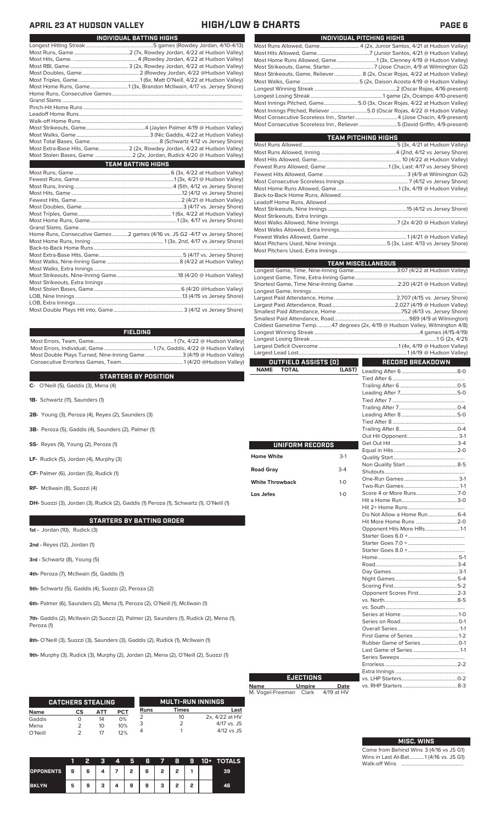## **APRIL 23 AT HUDSON VALLEY HIGH/LOW & CHARTS PAGE 6**

| INDIVIDUAL BATTING HIGHS                                                    |
|-----------------------------------------------------------------------------|
|                                                                             |
|                                                                             |
|                                                                             |
|                                                                             |
|                                                                             |
|                                                                             |
| Most Home Runs, Game1 (3x, Brandon McIlwain, 4/17 vs. Jersey Shore)         |
|                                                                             |
|                                                                             |
|                                                                             |
|                                                                             |
|                                                                             |
|                                                                             |
|                                                                             |
|                                                                             |
|                                                                             |
| Most Extra-Base Hits, Game 2 (2x, Rowdey Jordan, 4/22 at Hudson Valley)     |
|                                                                             |
| <b>TEAM BATTING HIGHS</b>                                                   |
|                                                                             |
|                                                                             |
|                                                                             |
|                                                                             |
|                                                                             |
|                                                                             |
|                                                                             |
|                                                                             |
|                                                                             |
|                                                                             |
| Home Runs, Consecutive Games 2 games (4/16 vs. JS G2 -4/17 vs Jersey Shore) |
|                                                                             |
|                                                                             |
|                                                                             |
|                                                                             |
|                                                                             |
|                                                                             |
|                                                                             |
|                                                                             |
|                                                                             |
|                                                                             |

| ELDING |  |  |
|--------|--|--|
|        |  |  |

Most Errors, Team, Game.............................................................1 (7x, 4/22 @ Hudson Valley) Most Errors, Individual, Game.....................................1 (7x, Gaddis, 4/22 @ Hudson Valley) Most Double Plays Turned, Nine-Inning Game............................ 3 (4/19 @ Hudson Valley) Consecutive Errorless Games, Team...

**FI** 

### **STARTERS BY POSITION**

**C-** O'Neill (5), Gaddis (3), Mena (4)

**1B-** Schwartz (11), Saunders (1)

**2B-** Young (3), Peroza (4), Reyes (2), Saunders (3)

**3B-** Peroza (5), Gaddis (4), Saunders (2), Palmer (1)

**SS-** Reyes (9), Young (2), Peroza (1)

**LF-** Rudick (5), Jordan (4), Murphy (3)

**CF-** Palmer (6), Jordan (5), Rudick (1)

**RF-** McIlwain (8), Suozzi (4)

**DH-** Suozzi (3), Jordan (3), Rudick (2), Gaddis (1) Peroza (1), Schwartz (1), O'Neill (1)

### **STARTERS BY BATTING ORDER**

**1st -** Jordan (10), Rudick (3)

**2nd -** Reyes (12), Jordan (1)

**3rd -** Schwartz (8), Young (5)

**4th-** Peroza (7), McIlwain (5), Gaddis (1)

**5th-** Schwartz (5), Gaddis (4), Suozzi (2), Peroza (2)

**6th-** Palmer (6), Saunders (2), Mena (1), Peroza (2), O'Neill (1), McIlwain (1)

**7th-** Gaddis (2), McIlwain (2) Suozzi (2), Palmer (2), Saunders (1), Rudick (2), Mena (1), Peroza (1)

**8th-** O'Neill (3), Suozzi (3), Saunders (3), Gaddis (2), Rudick (1), McIlwain (1)

**9th-** Murphy (3), Rudick (3), Murphy (2), Jordan (2), Mena (2), O'Neill (2), Suozzi (1)

|                 | <b>CATCHERS STEALING</b> |          |            |      | <b>MULTI-RUN INNINGS</b> |                               |
|-----------------|--------------------------|----------|------------|------|--------------------------|-------------------------------|
| <b>Name</b>     | СS                       | ΔТΤ      | <b>PCT</b> | Runs | Times                    | Last                          |
| Gaddis          |                          | 14       | 0%         |      | 10                       | 2x, 4/22 at HV<br>4/17 vs. JS |
| Mena<br>O'Neill |                          | 10<br>17 | 10%<br>12% |      |                          | $4/12$ vs JS                  |

|                  |   |   |   | 4 | 5 | 6 |   | 8        | 9 | 10+ | <b>TOTALS</b> |
|------------------|---|---|---|---|---|---|---|----------|---|-----|---------------|
| <b>OPPONENTS</b> | 9 | 6 |   |   | 2 | 6 | 2 | <b>D</b> |   |     | 39            |
| <b>BKLYN</b>     | 5 | 9 | ٠ | 4 | 9 | 9 | з | ,        | o |     | 46.           |

| INDIVIDUAL PITCHING HIGHS                                                  |
|----------------------------------------------------------------------------|
| Most Runs Allowed, Game 4 (2x, Junior Santos, 4/21 at Hudson Valley)       |
|                                                                            |
|                                                                            |
|                                                                            |
| Most Strikeouts, Game, Reliever 8 (2x, Oscar Rojas, 4/22 at Hudson Valley) |
|                                                                            |
|                                                                            |
|                                                                            |
| Most Innings Pitched, Game5.0 (3x, Oscar Rojas, 4/22 at Hudson Valley)     |
| Most Innings Pitched, Reliever 5.0 (Oscar Rojas, 4/22 @ Hudson Valley)     |
| Most Consecutive Scoreless Inn., Starter4 (Jose Chacin, 4/9-present)       |
| Most Consecutive Scoreless Inn., Reliever 5 (David Griffin, 4/9-present)   |
|                                                                            |

| <b>TEAM PITCHING HIGHS</b>                                                |  |
|---------------------------------------------------------------------------|--|
|                                                                           |  |
|                                                                           |  |
|                                                                           |  |
|                                                                           |  |
|                                                                           |  |
|                                                                           |  |
| Most Home Runs Allowed, Game……………………………………………1 (3x, 4/19 @ Hudson Valley) |  |
|                                                                           |  |
|                                                                           |  |
|                                                                           |  |
|                                                                           |  |
|                                                                           |  |
|                                                                           |  |
|                                                                           |  |
|                                                                           |  |
|                                                                           |  |

|                             |         | <b>TEAM MISCELLANEOUS</b>                                                    |  |  |  |  |
|-----------------------------|---------|------------------------------------------------------------------------------|--|--|--|--|
|                             |         | Longest Game, Time, Nine-Inning Game 3:07 (4/22 at Hudson Valley)            |  |  |  |  |
|                             |         |                                                                              |  |  |  |  |
|                             |         |                                                                              |  |  |  |  |
|                             |         |                                                                              |  |  |  |  |
|                             |         |                                                                              |  |  |  |  |
|                             |         |                                                                              |  |  |  |  |
|                             |         |                                                                              |  |  |  |  |
|                             |         |                                                                              |  |  |  |  |
|                             |         | Coldest Gametime Temp. 47 degrees (2x, 4/19 @ Hudson Valley, Wilmington 4/8) |  |  |  |  |
|                             |         |                                                                              |  |  |  |  |
|                             |         |                                                                              |  |  |  |  |
|                             |         |                                                                              |  |  |  |  |
|                             |         |                                                                              |  |  |  |  |
| OUTFIELD ASSISTS (0)        |         | RECORD BREAKDOWN                                                             |  |  |  |  |
| <b>NAME</b><br><b>TOTAL</b> | (LAST)  |                                                                              |  |  |  |  |
|                             |         |                                                                              |  |  |  |  |
|                             |         |                                                                              |  |  |  |  |
|                             |         |                                                                              |  |  |  |  |
|                             |         |                                                                              |  |  |  |  |
|                             |         |                                                                              |  |  |  |  |
|                             |         |                                                                              |  |  |  |  |
|                             |         |                                                                              |  |  |  |  |
|                             |         |                                                                              |  |  |  |  |
|                             |         |                                                                              |  |  |  |  |
| UNIFORM RECORDS             |         |                                                                              |  |  |  |  |
|                             |         |                                                                              |  |  |  |  |
| <b>Home White</b>           | $3-1$   |                                                                              |  |  |  |  |
|                             |         |                                                                              |  |  |  |  |
| <b>Road Gray</b>            | $3-4$   |                                                                              |  |  |  |  |
| <b>White Throwback</b>      | $1 - 0$ |                                                                              |  |  |  |  |
|                             |         |                                                                              |  |  |  |  |
| Los Jefes                   | $1 - 0$ |                                                                              |  |  |  |  |
|                             |         |                                                                              |  |  |  |  |
|                             |         |                                                                              |  |  |  |  |
|                             |         |                                                                              |  |  |  |  |
|                             |         | Hit More Home Runs 2-0                                                       |  |  |  |  |
|                             |         | Opponent Hits More HRs 1-1                                                   |  |  |  |  |
|                             |         |                                                                              |  |  |  |  |
|                             |         |                                                                              |  |  |  |  |
|                             |         |                                                                              |  |  |  |  |
|                             |         |                                                                              |  |  |  |  |
|                             |         |                                                                              |  |  |  |  |
|                             |         |                                                                              |  |  |  |  |
|                             |         |                                                                              |  |  |  |  |
|                             |         |                                                                              |  |  |  |  |
|                             |         |                                                                              |  |  |  |  |
|                             |         |                                                                              |  |  |  |  |
|                             |         |                                                                              |  |  |  |  |
|                             |         |                                                                              |  |  |  |  |
|                             |         |                                                                              |  |  |  |  |
|                             |         |                                                                              |  |  |  |  |
|                             |         |                                                                              |  |  |  |  |
|                             |         |                                                                              |  |  |  |  |

|                        | <b>EJECTIONS</b> |            |
|------------------------|------------------|------------|
| <b>Name</b>            | Umpire           | Date       |
| M. Vogel-Freeman Clark |                  | 4/19 at HV |

## **MISC. WINS**

Last Game of Series ...................................1-1 Series Sweeps .................................................

Extra Innings ..................................................... vs. LHP Starters..........................................0-2

Errorless...

vs. RHP Starters ...

Come from Behind Wins 3 (4/16 vs JS G1) Wins in Last At-Bat...........1 (4/16 vs. JS G1) Walk-off Wins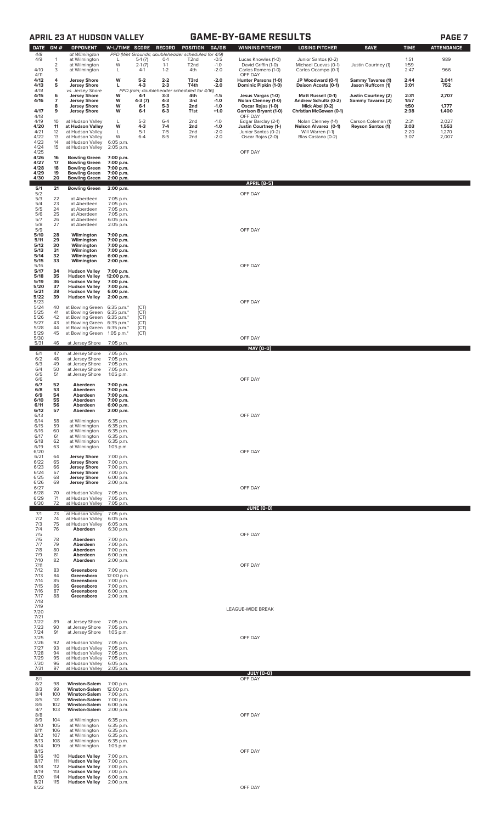| π |  |
|---|--|
|---|--|

|                      |                                | <b>APRIL 23 AT HUDSON VALLEY</b>                                     |                                      |                             |                           |                                                                                             |                            | <b>GAME-BY-GAME RESULTS</b>                                             |                                                                 |                                                |                      | <b>PAGE 7</b>           |
|----------------------|--------------------------------|----------------------------------------------------------------------|--------------------------------------|-----------------------------|---------------------------|---------------------------------------------------------------------------------------------|----------------------------|-------------------------------------------------------------------------|-----------------------------------------------------------------|------------------------------------------------|----------------------|-------------------------|
| <b>DATE</b>          | GM#                            | <b>OPPONENT</b>                                                      | W-L/TIME SCORE                       |                             | <b>RECORD</b>             | <b>POSITION</b>                                                                             | GA/GB                      | <b>WINNING PITCHER</b>                                                  | <b>LOSING PITCHER</b>                                           | <b>SAVE</b>                                    | <b>TIME</b>          | <b>ATTENDANCE</b>       |
| 4/8<br>4/9           | $\mathbf{1}$<br>$\overline{2}$ | at Wilmington<br>at Wilmington<br>at Wilmington                      | L<br>W                               | $5-1(7)$<br>$2-1(7)$        | $O-1$<br>$1 - 1$          | PPD (Wet Grounds; doubleheader scheduled for 4/9)<br>T <sub>2</sub> nd<br>T <sub>2</sub> nd | $-0.5$<br>$-1.0$           | Lucas Knowles (1-0)<br>David Griffin (1-0)                              | Junior Santos (0-2)<br>Michael Cuevas (0-1)                     | Justin Courtney (1)                            | 1:51<br>1:59         | 989                     |
| 4/10<br>4/11         | 3                              | at Wilmington                                                        | L                                    | $4-1$                       | $1 - 2$                   | 4th                                                                                         | $-2.0$                     | Carlos Romero (1-0)<br>OFF DAY                                          | Carlos Ocampo (0-1)                                             |                                                | 2:47                 | 966                     |
| 4/12<br>4/13         | 4<br>5                         | <b>Jersey Shore</b><br><b>Jersey Shore</b>                           | W<br>г                               | $5 - 2$<br>$4 - 3$          | $2 - 2$<br>$2 - 3$        | T3rd<br>T4th                                                                                | $-2.0$<br>$-2.0$           | Hunter Parsons (1-0)<br>Dominic Pipkin (1-0)                            | JP Woodward (0-1)<br>Daison Acosta (0-1)                        | <b>Sammy Tavares (1)</b><br>Jason Ruffcorn (1) | 2:44<br>3:01         | 2,041<br>752            |
| 4/14<br>4/15<br>4/16 | 6<br>$\overline{7}$            | vs. Jersey Shore<br><b>Jersey Shore</b><br><b>Jersey Shore</b>       | w<br>W                               | 4-1<br>$4-3(7)$             | $3 - 3$<br>$4-3$          | PPD (rain; doubleheader scheduled for 4/16)<br>4th<br>3rd                                   | $-1.5$<br>$-1.0$           | Jesus Vargas (1-0)<br>Nolan Clenney (1-0)                               | Matt Russell (0-1)<br>Andrew Schultz (0-2)                      | Justin Courtney (2)<br>Sammy Tavarez (2)       | 2:31<br>1:57         | 2,707                   |
| 4/17                 | 8<br>9                         | <b>Jersey Shore</b><br><b>Jersey Shore</b>                           | W<br>W                               | $6-1$<br>$6 - 1$            | $5-3$<br>$6 - 3$          | 2nd<br>T1st                                                                                 | $-1.0$<br>$+1.0$           | Oscar Rojas (1-0)<br><b>Garrison Bryant (1-0)</b>                       | Mick Abel (0-2)<br>Christian McGowan (0-1)                      |                                                | 1:50<br>2:38         | 1,777<br>1,400          |
| 4/18<br>4/19         | 10                             | at Hudson Valley                                                     | L                                    | $5-3$                       | $6 - 4$                   | 2nd                                                                                         | $-1.0$                     | OFF DAY<br>Edgar Barclay (2-1)                                          | Nolan Clenney (1-1)                                             | Carson Coleman (1)                             | 2:31                 | 2,027                   |
| 4/20<br>4/21<br>4/22 | 11<br>12<br>13                 | at Hudson Valley<br>at Hudson Valley<br>at Hudson Valley             | W<br>L<br>W                          | $4 - 3$<br>$5-1$<br>$6 - 4$ | $7-4$<br>$7-5$<br>$8 - 5$ | 2nd<br>2 <sub>nd</sub><br>2 <sub>nd</sub>                                                   | $-1.0$<br>$-2.0$<br>$-2.0$ | <b>Justin Courtney (1-)</b><br>Junior Santos (0-2)<br>Oscar Rojas (2-0) | Nelson Alvarez (0-1)<br>Will Warren (1-1)<br>Blas Castano (0-2) | <b>Reyson Santos (1)</b>                       | 3:03<br>2:20<br>3:07 | 1,553<br>1,270<br>2,007 |
| 4/23<br>4/24         | 14<br>15                       | at Hudson Valley<br>at Hudson Valley                                 | 6:05 p.m.<br>2:05 p.m.               |                             |                           |                                                                                             |                            |                                                                         |                                                                 |                                                |                      |                         |
| 4/25<br>4/26<br>4/27 | 16<br>17                       | <b>Bowling Green</b><br><b>Bowling Green</b>                         | 7:00 p.m.<br>7:00 p.m.               |                             |                           |                                                                                             |                            | OFF DAY                                                                 |                                                                 |                                                |                      |                         |
| 4/28<br>4/29         | 18<br>19                       | <b>Bowling Green</b><br><b>Bowling Green</b>                         | 7:00 p.m.<br>7:00 p.m.               |                             |                           |                                                                                             |                            |                                                                         |                                                                 |                                                |                      |                         |
| 4/30                 | 20                             | <b>Bowling Green</b>                                                 | 2:00 p.m.                            |                             |                           |                                                                                             |                            | <b>APRIL [8-5]</b>                                                      |                                                                 |                                                |                      |                         |
| 5/1<br>5/2           | 21<br>22                       | <b>Bowling Green</b><br>at Aberdeen                                  | 2:00 p.m.<br>7:05 p.m.               |                             |                           |                                                                                             |                            | OFF DAY                                                                 |                                                                 |                                                |                      |                         |
| $\frac{5}{3}$<br>5/5 | 23<br>24                       | at Aberdeen<br>at Aberdeen                                           | 7:05 p.m.<br>7:05 p.m.               |                             |                           |                                                                                             |                            |                                                                         |                                                                 |                                                |                      |                         |
| 5/6<br>5/7<br>5/8    | 25<br>26<br>27                 | at Aberdeen<br>at Aberdeen                                           | 7:05 p.m.<br>6:05 p.m.               |                             |                           |                                                                                             |                            |                                                                         |                                                                 |                                                |                      |                         |
| 5/9<br>5/10          | 28                             | at Aberdeen<br>Wilmington                                            | 2:05 p.m.<br>7:00 p.m.               |                             |                           |                                                                                             |                            | OFF DAY                                                                 |                                                                 |                                                |                      |                         |
| 5/11<br>5/12         | 29<br>30                       | Wilmington<br>Wilmington                                             | 7:00 p.m.<br>7:00 p.m.               |                             |                           |                                                                                             |                            |                                                                         |                                                                 |                                                |                      |                         |
| 5/13<br>5/14<br>5/15 | 31<br>32<br>33                 | Wilmington<br>Wilmington<br>Wilmington                               | 7:00 p.m.<br>6:00 p.m.<br>2:00 p.m.  |                             |                           |                                                                                             |                            |                                                                         |                                                                 |                                                |                      |                         |
| 5/16<br>5/17         | 34                             | <b>Hudson Valley</b>                                                 | 7:00 p.m.                            |                             |                           |                                                                                             |                            | OFF DAY                                                                 |                                                                 |                                                |                      |                         |
| 5/18<br>5/19         | 35<br>36                       | <b>Hudson Valley</b><br><b>Hudson Valley</b>                         | 12:00 p.m.<br>7:00 p.m.              |                             |                           |                                                                                             |                            |                                                                         |                                                                 |                                                |                      |                         |
| 5/20<br>5/21<br>5/22 | 37<br>38<br>39                 | <b>Hudson Valley</b><br><b>Hudson Valley</b><br><b>Hudson Valley</b> | 7:00 p.m.<br>6:00 p.m.<br>2:00 p.m.  |                             |                           |                                                                                             |                            |                                                                         |                                                                 |                                                |                      |                         |
| 5/23<br>5/24         | 40                             | at Bowling Green 6:35 p.m.*                                          |                                      | (CT)                        |                           |                                                                                             |                            | OFF DAY                                                                 |                                                                 |                                                |                      |                         |
| 5/25<br>5/26         | 41<br>42                       | at Bowling Green 6:35 p.m.*<br>at Bowling Green 6:35 p.m.*           |                                      | (CT)<br>(CT)                |                           |                                                                                             |                            |                                                                         |                                                                 |                                                |                      |                         |
| 5/27<br>5/28<br>5/29 | 43<br>44<br>45                 | at Bowling Green 6:35 p.m.*<br>at Bowling Green<br>at Bowling Green  | 6:35 p.m.*<br>1:05 p.m. $*$          | (CT)<br>(CT)<br>(CT)        |                           |                                                                                             |                            |                                                                         |                                                                 |                                                |                      |                         |
| 5/30<br>5/31         | 46                             | at Jersey Shore                                                      | 7:05 p.m.                            |                             |                           |                                                                                             |                            | OFF DAY                                                                 |                                                                 |                                                |                      |                         |
| 6/1                  | 47<br>48                       | at Jersey Shore<br>at Jersey Shore                                   | 7:05 p.m.                            |                             |                           |                                                                                             |                            | <b>MAY [0-0]</b>                                                        |                                                                 |                                                |                      |                         |
| 6/2<br>6/3<br>6/4    | 49<br>50                       | at Jersey Shore<br>at Jersey Shore                                   | 7:05 p.m.<br>7:05 p.m.<br>7:05 p.m.  |                             |                           |                                                                                             |                            |                                                                         |                                                                 |                                                |                      |                         |
| 6/5<br>6/6           | 51                             | at Jersey Shore                                                      | 1:05 p.m.                            |                             |                           |                                                                                             |                            | OFF DAY                                                                 |                                                                 |                                                |                      |                         |
| 6/7<br>6/8<br>6/9    | 52<br>53<br>54                 | Aberdeen<br>Aberdeen<br>Aberdeen                                     | 7:00 p.m.<br>7:00 p.m.<br>7:00 p.m.  |                             |                           |                                                                                             |                            |                                                                         |                                                                 |                                                |                      |                         |
| 6/10<br>6/11         | 55<br>56                       | Aberdeen<br>Aberdeen                                                 | 7:00 p.m.<br>6:00 p.m.               |                             |                           |                                                                                             |                            |                                                                         |                                                                 |                                                |                      |                         |
| 6/12<br>6/13         | 57                             | Aberdeen                                                             | 2:00 p.m.                            |                             |                           |                                                                                             |                            | OFF DAY                                                                 |                                                                 |                                                |                      |                         |
| 6/14<br>6/15<br>6/16 | 58<br>59<br>60                 | at Wilmington<br>at Wilmington<br>at Wilmington                      | 6:35 p.m.<br>6:35 p.m.<br>6:35 p.m.  |                             |                           |                                                                                             |                            |                                                                         |                                                                 |                                                |                      |                         |
| 6/17<br>6/18         | 61<br>62                       | at Wilmington<br>at Wilmington                                       | 6:35 p.m.<br>6:35 p.m.               |                             |                           |                                                                                             |                            |                                                                         |                                                                 |                                                |                      |                         |
| 6/19<br>6/20<br>6/21 | 63<br>64                       | at Wilmington<br><b>Jersey Shore</b>                                 | $1:05$ p.m.<br>7:00 p.m.             |                             |                           |                                                                                             |                            | OFF DAY                                                                 |                                                                 |                                                |                      |                         |
| 6/22<br>6/23         | 65<br>66                       | <b>Jersey Shore</b><br><b>Jersey Shore</b>                           | 7:00 p.m.<br>7:00 p.m.               |                             |                           |                                                                                             |                            |                                                                         |                                                                 |                                                |                      |                         |
| 6/24<br>6/25         | 67<br>68                       | <b>Jersey Shore</b><br><b>Jersey Shore</b>                           | 7:00 p.m.<br>6:00 p.m.               |                             |                           |                                                                                             |                            |                                                                         |                                                                 |                                                |                      |                         |
| 6/26<br>6/27<br>6/28 | 69<br>70                       | <b>Jersey Shore</b><br>at Hudson Valley                              | 2:00 p.m.<br>7:05 p.m.               |                             |                           |                                                                                             |                            | OFF DAY                                                                 |                                                                 |                                                |                      |                         |
| 6/29<br>6/30         | 71<br>72                       | at Hudson Valley<br>at Hudson Valley                                 | 7:05 p.m.<br>7:05 p.m.               |                             |                           |                                                                                             |                            |                                                                         |                                                                 |                                                |                      |                         |
| 7/1<br>7/2           | 73<br>74                       | at Hudson Valley<br>at Hudson Valley                                 | 7:05 p.m.<br>6:05 p.m.               |                             |                           |                                                                                             |                            | <b>JUNE (0-0)</b>                                                       |                                                                 |                                                |                      |                         |
| 7/3<br>7/4           | 75<br>76                       | at Hudson Valley<br>Aberdeen                                         | 6:05 p.m.<br>6:30 p.m.               |                             |                           |                                                                                             |                            |                                                                         |                                                                 |                                                |                      |                         |
| 7/5<br>7/6           | 78                             | Aberdeen                                                             | 7:00 p.m.                            |                             |                           |                                                                                             |                            | OFF DAY                                                                 |                                                                 |                                                |                      |                         |
| 7/7<br>7/8<br>7/9    | 79<br>80<br>81                 | Aberdeen<br>Aberdeen<br>Aberdeen                                     | 7:00 p.m.<br>7:00 p.m.<br>6:00 p.m.  |                             |                           |                                                                                             |                            |                                                                         |                                                                 |                                                |                      |                         |
| 7/10<br>7/11         | 82                             | Aberdeen                                                             | 2:00 p.m.                            |                             |                           |                                                                                             |                            | OFF DAY                                                                 |                                                                 |                                                |                      |                         |
| 7/12<br>7/13<br>7/14 | 83<br>84<br>85                 | Greensboro<br>Greensboro<br>Greensboro                               | 7:00 p.m.<br>12:00 p.m.<br>7:00 p.m. |                             |                           |                                                                                             |                            |                                                                         |                                                                 |                                                |                      |                         |
| 7/15<br>7/16         | 86<br>87                       | Greensboro<br>Greensboro                                             | 7:00 p.m.<br>6:00 p.m.               |                             |                           |                                                                                             |                            |                                                                         |                                                                 |                                                |                      |                         |
| 7/17<br>7/18         | 88                             | Greensboro                                                           | 2:00 p.m.                            |                             |                           |                                                                                             |                            |                                                                         |                                                                 |                                                |                      |                         |
| 7/19<br>7/20<br>7/21 |                                |                                                                      |                                      |                             |                           |                                                                                             |                            | LEAGUE-WIDE BREAK                                                       |                                                                 |                                                |                      |                         |
| 7/22<br>7/23         | 89<br>90                       | at Jersey Shore<br>at Jersey Shore                                   | 7:05 p.m.<br>7:05 p.m.               |                             |                           |                                                                                             |                            |                                                                         |                                                                 |                                                |                      |                         |
| 7/24<br>7/25<br>7/26 | 91<br>92                       | at Jersey Shore<br>at Hudson Valley                                  | $1:05$ p.m.<br>7:05 p.m.             |                             |                           |                                                                                             |                            | OFF DAY                                                                 |                                                                 |                                                |                      |                         |
| 7/27<br>7/28         | 93<br>94                       | at Hudson Valley<br>at Hudson Valley                                 | 7:05 p.m.<br>7:05 p.m.               |                             |                           |                                                                                             |                            |                                                                         |                                                                 |                                                |                      |                         |
| 7/29<br>7/30         | 95<br>96                       | at Hudson Valley<br>at Hudson Valley                                 | 7:05 p.m.<br>6:05 p.m.               |                             |                           |                                                                                             |                            |                                                                         |                                                                 |                                                |                      |                         |
| 7/31<br>8/1          | 97                             | at Hudson Valley                                                     | 2:05 p.m.                            |                             |                           |                                                                                             |                            | JULY (0-0)<br>OFF DAY                                                   |                                                                 |                                                |                      |                         |
| 8/2<br>8/3           | 98<br>99                       | <b>Winston-Salem</b><br><b>Winston-Salem</b>                         | 7:00 p.m.<br>12:00 p.m.              |                             |                           |                                                                                             |                            |                                                                         |                                                                 |                                                |                      |                         |
| 8/4<br>8/5           | 100<br>101                     | <b>Winston-Salem</b><br><b>Winston-Salem</b>                         | 7:00 p.m.<br>7:00 p.m.               |                             |                           |                                                                                             |                            |                                                                         |                                                                 |                                                |                      |                         |
| 8/6<br>8/7<br>8/8    | 102<br>103                     | <b>Winston-Salem</b><br><b>Winston-Salem</b>                         | 6:00 p.m.<br>2:00 p.m.               |                             |                           |                                                                                             |                            | OFF DAY                                                                 |                                                                 |                                                |                      |                         |
| 8/9<br>8/10          | 104<br>105                     | at Wilmington<br>at Wilmington                                       | 6:35 p.m.<br>6:35 p.m.               |                             |                           |                                                                                             |                            |                                                                         |                                                                 |                                                |                      |                         |
| 8/11<br>8/12<br>8/13 | 106<br>107<br>108              | at Wilmington<br>at Wilmington<br>at Wilmington                      | 6:35 p.m.<br>6:35 p.m.<br>6:35 p.m.  |                             |                           |                                                                                             |                            |                                                                         |                                                                 |                                                |                      |                         |
| 8/14<br>8/15         | 109                            | at Wilmington                                                        | 1:05 p.m.                            |                             |                           |                                                                                             |                            | OFF DAY                                                                 |                                                                 |                                                |                      |                         |
| 8/16<br>8/17         | 110<br>111                     | <b>Hudson Valley</b><br><b>Hudson Valley</b>                         | 7:00 p.m.<br>7:00 p.m.               |                             |                           |                                                                                             |                            |                                                                         |                                                                 |                                                |                      |                         |
| 8/18<br>8/19<br>8/20 | 112<br>113<br>114              | <b>Hudson Valley</b><br><b>Hudson Valley</b><br><b>Hudson Valley</b> | 7:00 p.m.<br>7:00 p.m.<br>6:00 p.m.  |                             |                           |                                                                                             |                            |                                                                         |                                                                 |                                                |                      |                         |
| 8/21<br>8/22         | 115                            | <b>Hudson Valley</b>                                                 | 2:00 p.m.                            |                             |                           |                                                                                             |                            | OFF DAY                                                                 |                                                                 |                                                |                      |                         |